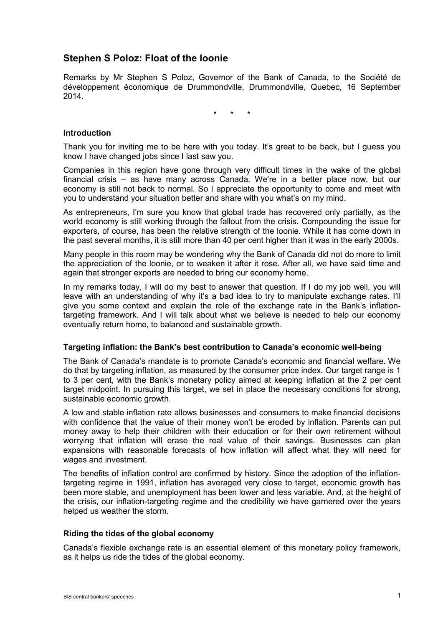# **Stephen S Poloz: Float of the loonie**

Remarks by Mr Stephen S Poloz, Governor of the Bank of Canada, to the Société de développement économique de Drummondville, Drummondville, Quebec, 16 September 2014.

\* \* \*

# **Introduction**

Thank you for inviting me to be here with you today. It's great to be back, but I guess you know I have changed jobs since I last saw you.

Companies in this region have gone through very difficult times in the wake of the global financial crisis – as have many across Canada. We're in a better place now, but our economy is still not back to normal. So I appreciate the opportunity to come and meet with you to understand your situation better and share with you what's on my mind.

As entrepreneurs, I'm sure you know that global trade has recovered only partially, as the world economy is still working through the fallout from the crisis. Compounding the issue for exporters, of course, has been the relative strength of the loonie. While it has come down in the past several months, it is still more than 40 per cent higher than it was in the early 2000s.

Many people in this room may be wondering why the Bank of Canada did not do more to limit the appreciation of the loonie, or to weaken it after it rose. After all, we have said time and again that stronger exports are needed to bring our economy home.

In my remarks today, I will do my best to answer that question. If I do my job well, you will leave with an understanding of why it's a bad idea to try to manipulate exchange rates. I'll give you some context and explain the role of the exchange rate in the Bank's inflationtargeting framework. And I will talk about what we believe is needed to help our economy eventually return home, to balanced and sustainable growth.

#### **Targeting inflation: the Bank's best contribution to Canada's economic well-being**

The Bank of Canada's mandate is to promote Canada's economic and financial welfare. We do that by targeting inflation, as measured by the consumer price index. Our target range is 1 to 3 per cent, with the Bank's monetary policy aimed at keeping inflation at the 2 per cent target midpoint. In pursuing this target, we set in place the necessary conditions for strong, sustainable economic growth.

A low and stable inflation rate allows businesses and consumers to make financial decisions with confidence that the value of their money won't be eroded by inflation. Parents can put money away to help their children with their education or for their own retirement without worrying that inflation will erase the real value of their savings. Businesses can plan expansions with reasonable forecasts of how inflation will affect what they will need for wages and investment.

The benefits of inflation control are confirmed by history. Since the adoption of the inflationtargeting regime in 1991, inflation has averaged very close to target, economic growth has been more stable, and unemployment has been lower and less variable. And, at the height of the crisis, our inflation-targeting regime and the credibility we have garnered over the years helped us weather the storm.

### **Riding the tides of the global economy**

Canada's flexible exchange rate is an essential element of this monetary policy framework, as it helps us ride the tides of the global economy.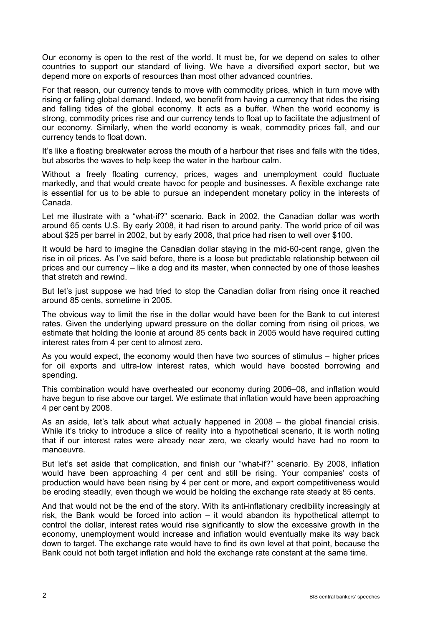Our economy is open to the rest of the world. It must be, for we depend on sales to other countries to support our standard of living. We have a diversified export sector, but we depend more on exports of resources than most other advanced countries.

For that reason, our currency tends to move with commodity prices, which in turn move with rising or falling global demand. Indeed, we benefit from having a currency that rides the rising and falling tides of the global economy. It acts as a buffer. When the world economy is strong, commodity prices rise and our currency tends to float up to facilitate the adjustment of our economy. Similarly, when the world economy is weak, commodity prices fall, and our currency tends to float down.

It's like a floating breakwater across the mouth of a harbour that rises and falls with the tides, but absorbs the waves to help keep the water in the harbour calm.

Without a freely floating currency, prices, wages and unemployment could fluctuate markedly, and that would create havoc for people and businesses. A flexible exchange rate is essential for us to be able to pursue an independent monetary policy in the interests of Canada.

Let me illustrate with a "what-if?" scenario. Back in 2002, the Canadian dollar was worth around 65 cents U.S. By early 2008, it had risen to around parity. The world price of oil was about \$25 per barrel in 2002, but by early 2008, that price had risen to well over \$100.

It would be hard to imagine the Canadian dollar staying in the mid-60-cent range, given the rise in oil prices. As I've said before, there is a loose but predictable relationship between oil prices and our currency – like a dog and its master, when connected by one of those leashes that stretch and rewind.

But let's just suppose we had tried to stop the Canadian dollar from rising once it reached around 85 cents, sometime in 2005.

The obvious way to limit the rise in the dollar would have been for the Bank to cut interest rates. Given the underlying upward pressure on the dollar coming from rising oil prices, we estimate that holding the loonie at around 85 cents back in 2005 would have required cutting interest rates from 4 per cent to almost zero.

As you would expect, the economy would then have two sources of stimulus – higher prices for oil exports and ultra-low interest rates, which would have boosted borrowing and spending.

This combination would have overheated our economy during 2006–08, and inflation would have begun to rise above our target. We estimate that inflation would have been approaching 4 per cent by 2008.

As an aside, let's talk about what actually happened in 2008 – the global financial crisis. While it's tricky to introduce a slice of reality into a hypothetical scenario, it is worth noting that if our interest rates were already near zero, we clearly would have had no room to manoeuvre.

But let's set aside that complication, and finish our "what-if?" scenario. By 2008, inflation would have been approaching 4 per cent and still be rising. Your companies' costs of production would have been rising by 4 per cent or more, and export competitiveness would be eroding steadily, even though we would be holding the exchange rate steady at 85 cents.

And that would not be the end of the story. With its anti-inflationary credibility increasingly at risk, the Bank would be forced into action – it would abandon its hypothetical attempt to control the dollar, interest rates would rise significantly to slow the excessive growth in the economy, unemployment would increase and inflation would eventually make its way back down to target. The exchange rate would have to find its own level at that point, because the Bank could not both target inflation and hold the exchange rate constant at the same time.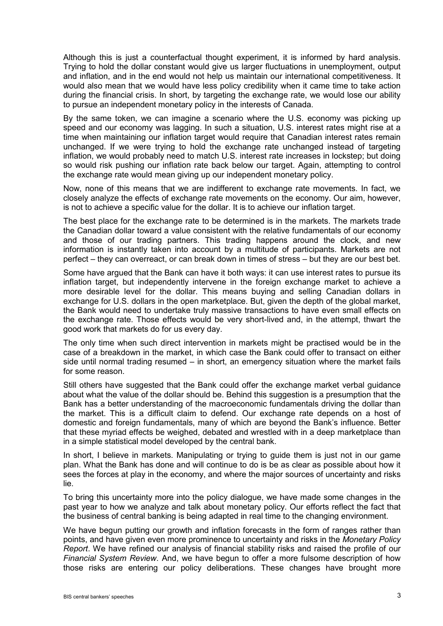Although this is just a counterfactual thought experiment, it is informed by hard analysis. Trying to hold the dollar constant would give us larger fluctuations in unemployment, output and inflation, and in the end would not help us maintain our international competitiveness. It would also mean that we would have less policy credibility when it came time to take action during the financial crisis. In short, by targeting the exchange rate, we would lose our ability to pursue an independent monetary policy in the interests of Canada.

By the same token, we can imagine a scenario where the U.S. economy was picking up speed and our economy was lagging. In such a situation, U.S. interest rates might rise at a time when maintaining our inflation target would require that Canadian interest rates remain unchanged. If we were trying to hold the exchange rate unchanged instead of targeting inflation, we would probably need to match U.S. interest rate increases in lockstep; but doing so would risk pushing our inflation rate back below our target. Again, attempting to control the exchange rate would mean giving up our independent monetary policy.

Now, none of this means that we are indifferent to exchange rate movements. In fact, we closely analyze the effects of exchange rate movements on the economy. Our aim, however, is not to achieve a specific value for the dollar. It is to achieve our inflation target.

The best place for the exchange rate to be determined is in the markets. The markets trade the Canadian dollar toward a value consistent with the relative fundamentals of our economy and those of our trading partners. This trading happens around the clock, and new information is instantly taken into account by a multitude of participants. Markets are not perfect – they can overreact, or can break down in times of stress – but they are our best bet.

Some have argued that the Bank can have it both ways: it can use interest rates to pursue its inflation target, but independently intervene in the foreign exchange market to achieve a more desirable level for the dollar. This means buying and selling Canadian dollars in exchange for U.S. dollars in the open marketplace. But, given the depth of the global market, the Bank would need to undertake truly massive transactions to have even small effects on the exchange rate. Those effects would be very short-lived and, in the attempt, thwart the good work that markets do for us every day.

The only time when such direct intervention in markets might be practised would be in the case of a breakdown in the market, in which case the Bank could offer to transact on either side until normal trading resumed – in short, an emergency situation where the market fails for some reason.

Still others have suggested that the Bank could offer the exchange market verbal guidance about what the value of the dollar should be. Behind this suggestion is a presumption that the Bank has a better understanding of the macroeconomic fundamentals driving the dollar than the market. This is a difficult claim to defend. Our exchange rate depends on a host of domestic and foreign fundamentals, many of which are beyond the Bank's influence. Better that these myriad effects be weighed, debated and wrestled with in a deep marketplace than in a simple statistical model developed by the central bank.

In short, I believe in markets. Manipulating or trying to guide them is just not in our game plan. What the Bank has done and will continue to do is be as clear as possible about how it sees the forces at play in the economy, and where the major sources of uncertainty and risks lie.

To bring this uncertainty more into the policy dialogue, we have made some changes in the past year to how we analyze and talk about monetary policy. Our efforts reflect the fact that the business of central banking is being adapted in real time to the changing environment.

We have begun putting our growth and inflation forecasts in the form of ranges rather than points, and have given even more prominence to uncertainty and risks in the *Monetary Policy Report*. We have refined our analysis of financial stability risks and raised the profile of our *Financial System Review*. And, we have begun to offer a more fulsome description of how those risks are entering our policy deliberations. These changes have brought more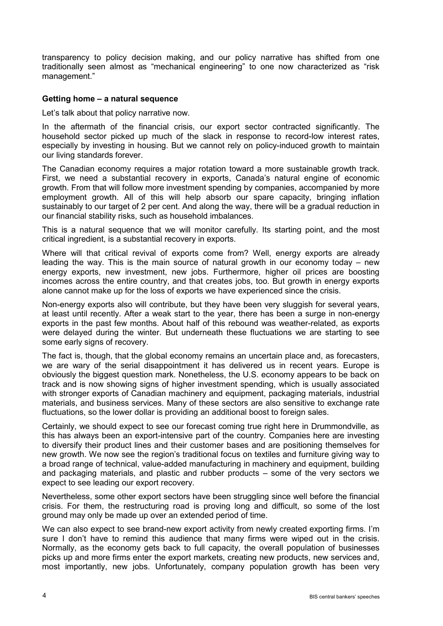transparency to policy decision making, and our policy narrative has shifted from one traditionally seen almost as "mechanical engineering" to one now characterized as "risk management."

# **Getting home – a natural sequence**

Let's talk about that policy narrative now.

In the aftermath of the financial crisis, our export sector contracted significantly. The household sector picked up much of the slack in response to record-low interest rates, especially by investing in housing. But we cannot rely on policy-induced growth to maintain our living standards forever.

The Canadian economy requires a major rotation toward a more sustainable growth track. First, we need a substantial recovery in exports, Canada's natural engine of economic growth. From that will follow more investment spending by companies, accompanied by more employment growth. All of this will help absorb our spare capacity, bringing inflation sustainably to our target of 2 per cent. And along the way, there will be a gradual reduction in our financial stability risks, such as household imbalances.

This is a natural sequence that we will monitor carefully. Its starting point, and the most critical ingredient, is a substantial recovery in exports.

Where will that critical revival of exports come from? Well, energy exports are already leading the way. This is the main source of natural growth in our economy today – new energy exports, new investment, new jobs. Furthermore, higher oil prices are boosting incomes across the entire country, and that creates jobs, too. But growth in energy exports alone cannot make up for the loss of exports we have experienced since the crisis.

Non-energy exports also will contribute, but they have been very sluggish for several years, at least until recently. After a weak start to the year, there has been a surge in non-energy exports in the past few months. About half of this rebound was weather-related, as exports were delayed during the winter. But underneath these fluctuations we are starting to see some early signs of recovery.

The fact is, though, that the global economy remains an uncertain place and, as forecasters, we are wary of the serial disappointment it has delivered us in recent years. Europe is obviously the biggest question mark. Nonetheless, the U.S. economy appears to be back on track and is now showing signs of higher investment spending, which is usually associated with stronger exports of Canadian machinery and equipment, packaging materials, industrial materials, and business services. Many of these sectors are also sensitive to exchange rate fluctuations, so the lower dollar is providing an additional boost to foreign sales.

Certainly, we should expect to see our forecast coming true right here in Drummondville, as this has always been an export-intensive part of the country. Companies here are investing to diversify their product lines and their customer bases and are positioning themselves for new growth. We now see the region's traditional focus on textiles and furniture giving way to a broad range of technical, value-added manufacturing in machinery and equipment, building and packaging materials, and plastic and rubber products – some of the very sectors we expect to see leading our export recovery.

Nevertheless, some other export sectors have been struggling since well before the financial crisis. For them, the restructuring road is proving long and difficult, so some of the lost ground may only be made up over an extended period of time.

We can also expect to see brand-new export activity from newly created exporting firms. I'm sure I don't have to remind this audience that many firms were wiped out in the crisis. Normally, as the economy gets back to full capacity, the overall population of businesses picks up and more firms enter the export markets, creating new products, new services and, most importantly, new jobs. Unfortunately, company population growth has been very